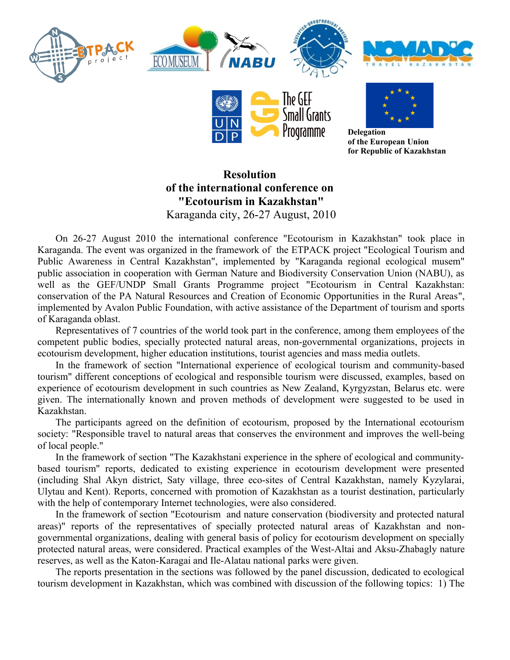





**Delegation of the European Union for Republic of Kazakhstan**

## **Resolution of the international conference on "Ecotourism in Kazakhstan"** Karaganda city, 26-27 August, 2010

On 26-27 August 2010 the international conference "Ecotourism in Kazakhstan" took place in Karaganda. The event was organized in the framework of the ETPACK project "Ecological Tourism and Public Awareness in Central Kazakhstan", implemented by "Karaganda regional ecological musem" public association in cooperation with German Nature and Biodiversity Conservation Union (NABU), as well as the GEF/UNDP Small Grants Programme project "Ecotourism in Central Kazakhstan: conservation of the PA Natural Resources and Creation of Economic Opportunities in the Rural Areas", implemented by Avalon Public Foundation, with active assistance of the Department of tourism and sports of Karaganda oblast.

Representatives of 7 countries of the world took part in the conference, among them employees of the competent public bodies, specially protected natural areas, non-governmental organizations, projects in ecotourism development, higher education institutions, tourist agencies and mass media outlets.

In the framework of section "International experience of ecological tourism and community-based tourism" different conceptions of ecological and responsible tourism were discussed, examples, based on experience of ecotourism development in such countries as New Zealand, Kyrgyzstan, Belarus etc. were given. The internationally known and proven methods of development were suggested to be used in Kazakhstan.

The participants agreed on the definition of ecotourism, proposed by the International ecotourism society: "Responsible travel to natural areas that conserves the environment and improves the well-being of local people."

In the framework of section "The Kazakhstani experience in the sphere of ecological and communitybased tourism" reports, dedicated to existing experience in ecotourism development were presented (including Shal Akyn district, Saty village, three eco-sites of Central Kazakhstan, namely Kyzylarai, Ulytau and Kent). Reports, concerned with promotion of Kazakhstan as a tourist destination, particularly with the help of contemporary Internet technologies, were also considered.

In the framework of section "Ecotourism and nature conservation (biodiversity and protected natural areas)" reports of the representatives of specially protected natural areas of Kazakhstan and nongovernmental organizations, dealing with general basis of policy for ecotourism development on specially protected natural areas, were considered. Practical examples of the West-Altai and Aksu-Zhabagly nature reserves, as well as the Katon-Karagai and Ile-Alatau national parks were given.

The reports presentation in the sections was followed by the panel discussion, dedicated to ecological tourism development in Kazakhstan, which was combined with discussion of the following topics: 1) The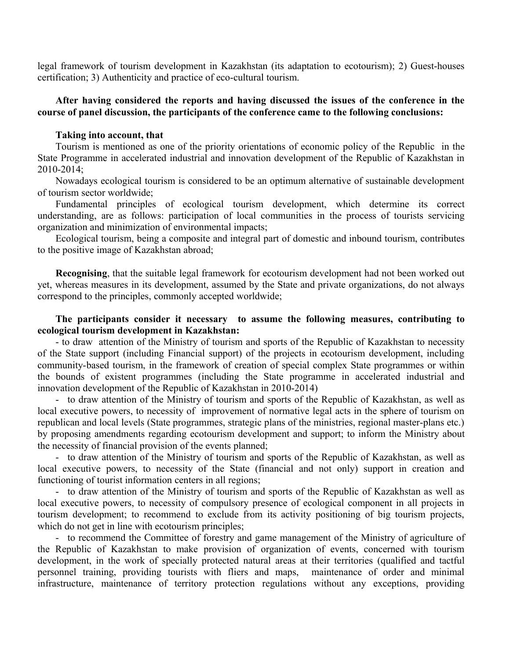legal framework of tourism development in Kazakhstan (its adaptation to ecotourism); 2) Guest-houses certification; 3) Authenticity and practice of eco-cultural tourism.

## **After having considered the reports and having discussed the issues of the conference in the course of panel discussion, the participants of the conference came to the following conclusions:**

## **Taking into account, that**

Tourism is mentioned as one of the priority orientations of economic policy of the Republic in the State Programme in accelerated industrial and innovation development of the Republic of Kazakhstan in 2010-2014;

Nowadays ecological tourism is considered to be an optimum alternative of sustainable development of tourism sector worldwide;

Fundamental principles of ecological tourism development, which determine its correct understanding, are as follows: participation of local communities in the process of tourists servicing organization and minimization of environmental impacts;

Ecological tourism, being a composite and integral part of domestic and inbound tourism, contributes to the positive image of Kazakhstan abroad;

**Recognising**, that the suitable legal framework for ecotourism development had not been worked out yet, whereas measures in its development, assumed by the State and private organizations, do not always correspond to the principles, commonly accepted worldwide;

## **The participants consider it necessary to assume the following measures, contributing to ecological tourism development in Kazakhstan:**

- to draw attention of the Ministry of tourism and sports of the Republic of Kazakhstan to necessity of the State support (including Financial support) of the projects in ecotourism development, including community-based tourism, in the framework of creation of special complex State programmes or within the bounds of existent programmes (including the State programme in accelerated industrial and innovation development of the Republic of Kazakhstan in 2010-2014)

- to draw attention of the Ministry of tourism and sports of the Republic of Kazakhstan, as well as local executive powers, to necessity of improvement of normative legal acts in the sphere of tourism on republican and local levels (State programmes, strategic plans of the ministries, regional master-plans etc.) by proposing amendments regarding ecotourism development and support; to inform the Ministry about the necessity of financial provision of the events planned;

- to draw attention of the Ministry of tourism and sports of the Republic of Kazakhstan, as well as local executive powers, to necessity of the State (financial and not only) support in creation and functioning of tourist information centers in all regions;

- to draw attention of the Ministry of tourism and sports of the Republic of Kazakhstan as well as local executive powers, to necessity of compulsory presence of ecological component in all projects in tourism development; to recommend to exclude from its activity positioning of big tourism projects, which do not get in line with ecotourism principles;

- to recommend the Committee of forestry and game management of the Ministry of agriculture of the Republic of Kazakhstan to make provision of organization of events, concerned with tourism development, in the work of specially protected natural areas at their territories (qualified and tactful personnel training, providing tourists with fliers and maps, maintenance of order and minimal infrastructure, maintenance of territory protection regulations without any exceptions, providing